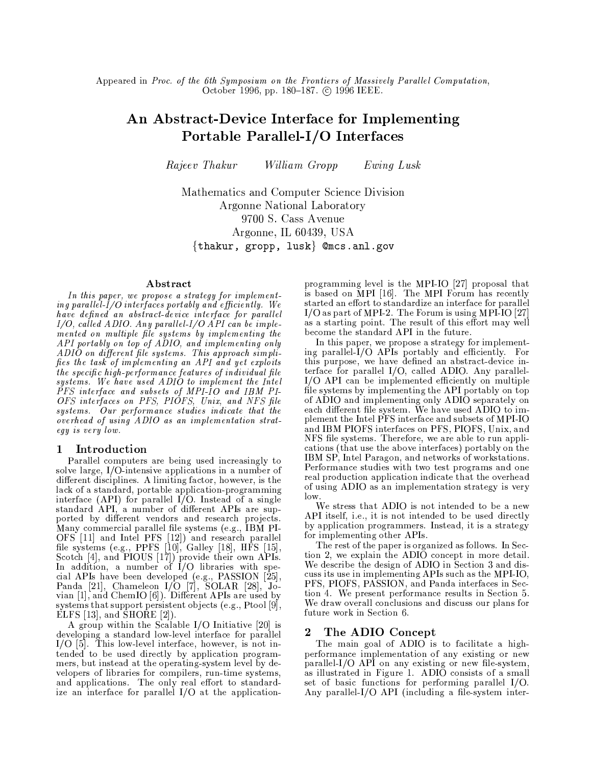Appeared in Proc. of the 6th Symposium on the Frontiers of Massively Parallel Computation. October 1996, pp. 180-187. ⓒ 1996 IEEE.

# An Abstract-Device Interface for Implementing Portable Parallel-I/O Interfaces

Rajeev Thakur William Gropp Ewing Lusk

Mathematics and Computer Science Division Argonne National Laboratory 9700 S. Cass Avenue Argonne, IL 60439, USA  $\{$ thakur, gropp, lusk $\}$  @mcs.anl.gov

### Abstract

In this paper, we propose a strategy for implementing parallel-I/O interfaces portably and efficiently. We have defined an abstract-device interface for parallel  $I/O$ , called ADIO. Any parallel- $I/O$  API can be implemented on multiple file systems by implementing the API portably on top of ADIO, and implementing only ADIO on different file systems. This approach simplifies the task of implementing an API and yet exploits the specific high-performance features of individual file<br>systems. We have used ADIO to implement the Intel PFS interface and subsets of MPI-IO and IBM PI-<br>OFS interfaces on PFS, PIOFS, Unix, and NFS file systems. Our performance studies indicate that the overhead of using ADIO as an implementation stratequ is very low.

#### Introduction 1

Parallel computers are being used increasingly to solve large, I/O-intensive applications in a number of different disciplines. A limiting factor, however, is the lack of a standard, portable application-programming<br>interface (API) for parallel I/O. Instead of a single standard API, a number of different APIs are supported by different vendors and research projects. Many commercial parallel file systems (e.g., IBM PI-Many commercial parallel file systems (e.g., IBM PI-<br>OFS [11] and Intel PFS [12]) and research parallel<br>file systems (e.g., PPFS [10], Galley [18], HFS [15],<br>Scotch [4], and PIOUS [17]) provide their own APIs.<br>In addition systems that support persistent objects (e.g., Ptool [9], ELFS  $[13]$ , and SHORE  $[2]$ ).

A group within the Scalable I/O Initiative [20] is developing a standard low-level interface for parallel  $I/O$  [5]. This low-level interface, however, is not intended to be used directly by application programmers, but instead at the operating-system level by developers of libraries for compilers, run-time systems, and applications. The only real effort to standardize an interface for parallel I/O at the applicationprogramming level is the MPI-IO [27] proposal that is based on MPI [16]. The MPI Forum has recently started an effort to standardize an interface for parallel  $I/O$  as part of MPI-2. The Forum is using MPI-IO [27] as a starting point. The result of this effort may well become the standard API in the future.

In this paper, we propose a strategy for implementing parallel- $\overline{I}/\overline{O}$  APIs portably and efficiently. For this purpose, we have defined an abstract-device interface for parallel I/O, called ADIO. Any parallel-I/O API can be implemented efficiently on multiple file systems by implementing the API portably on top of ADIO and implementing only ADIO separately on each different file system. We have used ADIO to implement the Intel PFS interface and subsets of MPI-IO and IBM PIOFS interfaces on PFS, PIOFS, Unix, and NFS file systems. Therefore, we are able to run applications (that use the above interfaces) portably on the IBM SP, Intel Paragon, and networks of workstations. Performance studies with two test programs and one real production application indicate that the overhead of using ADIO as an implementation strategy is very  $low$ .

We stress that ADIO is not intended to be a new API itself, i.e., it is not intended to be used directly by application programmers. Instead, it is a strategy for implementing other APIs.

The rest of the paper is organized as follows. In Section 2, we explain the ADIO concept in more detail. We describe the design of ADIO in Section 3 and discuss its use in implementing APIs such as the MPI-IO, PFS, PIOFS, PASSION, and Panda interfaces in Section 4. We present performance results in Section 5. We draw overall conclusions and discuss our plans for future work in Section 6.

#### The ADIO Concept  $\boldsymbol{2}$

The main goal of ADIO is to facilitate a highperformance implementation of any existing or new parallel-I/O API on any existing or new file-system, as illustrated in Figure 1. ADIO consists of a small set of basic functions for performing parallel I/O. Any parallel-I/O API (including a file-system inter-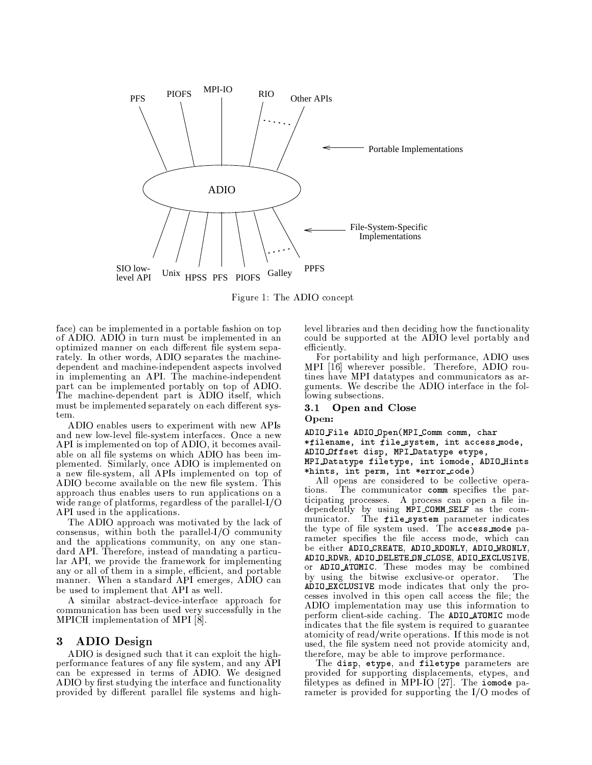

Figure 1: The ADIO concept

face) can be implemented in a portable fashion on top of ADIO. ADIO in turn must be implemented in an optimized manner on each different file system separately. In other words, ADIO separates the machinedependent and machine-independent aspects involved in implementing an API. The machine-independent part can be implemented portably on top of ADIO. The machine-dependent part is ADIO itself, which must be implemented separately on each different system.

ADIO enables users to experiment with new APIs and new low-level file-system interfaces. Once a new API is implemented on top of ADIO, it becomes available on all file systems on which ADIO has been implemented. Similarly, once ADIO is implemented on a new file-system, all APIs implemented on top of ADIO become available on the new file system. This approach thus enables users to run applications on a wide range of platforms, regardless of the parallel- $I/O$ API used in the applications.

The ADIO approach was motivated by the lack of consensus, within both the parallel- $I/O$  community and the applications community, on any one standard API. Therefore, instead of mandating a particular API, we provide the framework for implementing any or all of them in a simple, efficient, and portable manner. When a standard API emerges, ADIO can be used to implement that API as well.

A similar abstract-device-interface approach for communication has been used very successfully in the MPICH implementation of MPI [8].

#### **ADIO** Design 3

ADIO is designed such that it can exploit the highperformance features of any file system, and any API<br>can be expressed in terms of ADIO. We designed ADIO by first studying the interface and functionality provided by different parallel file systems and highlevel libraries and then deciding how the functionality could be supported at the ADIO level portably and efficiently.

For portability and high performance, ADIO uses<br>MPI [16] wherever possible. Therefore, ADIO routines have MPI datatypes and communicators as arguments. We describe the ADIO interface in the following subsections.

#### $\bf 3.1$ Open and Close Open:

ADIO\_File ADIO\_Open(MPI\_Comm comm, char \*filename, int file\_system, int access\_mode, ADIO Offset disp, MPI Datatype etype, MPI Datatype filetype, int iomode, ADIO Hints \*hints, int perm, int \*error\_code)

All opens are considered to be collective opera-The communicator comm specifies the partions. ticipating processes. A process can open a file in-<br>dependently by using MPI\_COMM\_SELF as the com-<br>municator. The file\_system\_parameter indicates the type of file system used. The access mode parameter specifies the file access mode, which can be either ADIO\_CREATE, ADIO\_RDONLY, ADIO\_WRONLY, ADIO\_RDWR, ADIO\_DELETE\_ON\_CLOSE, ADIO\_EXCLUSIVE, or ADIO\_ATOMIC. These modes may be combined by using the bitwise exclusive-or operator.  $The$ ADIO EXCLUSIVE mode indicates that only the processes involved in this open call access the file; the ADIO implementation may use this information to perform client-side caching. The ADIO\_ATOMIC mode indicates that the file system is required to guarantee atomicity of read/write operations. If this mode is not used, the file system need not provide atomicity and, therefore, may be able to improve performance.

The disp, etype, and filetype parameters are provided for supporting displacements, etypes, and filetypes as defined in MPI-IO [27]. The iomode parameter is provided for supporting the  $I/O$  modes of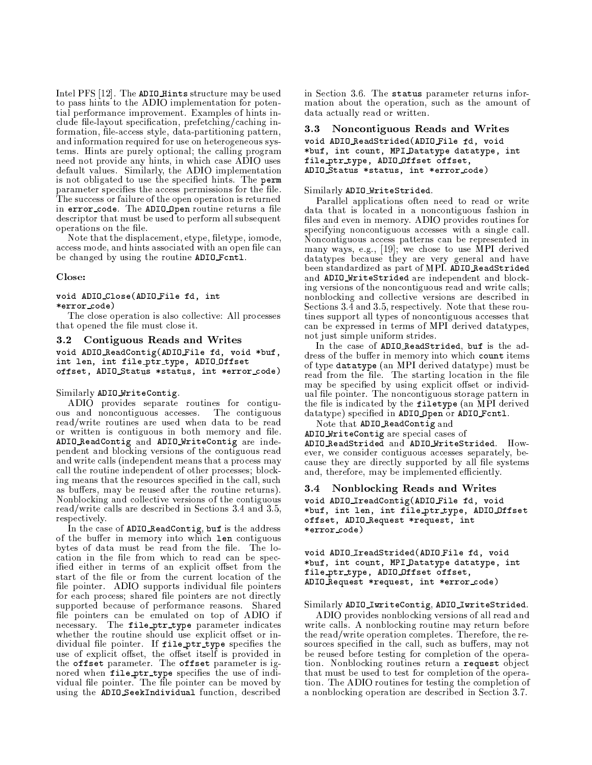Intel PFS [12]. The ADIO Hints structure may be used to pass hints to the ADIO implementation for potential performance improvement. Examples of hints include file-layout specification, prefetching/caching information, file-access style, data-partitioning pattern, and information required for use on heterogeneous systems. Hints are purely optional; the calling program need not provide any hints, in which case ADIO uses default values. Similarly, the ADIO implementation is not obligated to use the specified hints. The perm parameter specifies the access permissions for the file. The success or failure of the open operation is returned in error\_code. The ADIO\_Open routine returns a file descriptor that must be used to perform all subsequent operations on the file.

Note that the displacement, etype, filetype, iomode, access mode, and hints associated with an open file can be changed by using the routine ADIO\_Fcnt1.

### Close:

### void ADIO\_Close(ADIO\_File fd, int  $*error\_code)$

The close operation is also collective: All processes that opened the file must close it.

#### Contiguous Reads and Writes  $\bf 3.2$

void ADIO\_ReadContig(ADIO\_File fd, void \*buf, int len, int file\_ptr\_type, ADIO\_Offset offset, ADIO\_Status \*status, int \*error\_code)

# Similarly ADIO\_WriteContig.

ADIO provides separate routines for contiguous and noncontiguous accesses. The contiguous read/write routines are used when data to be read or written is contiguous in both memory and file. ADIO\_ReadContig and ADIO\_WriteContig are independent and blocking versions of the contiguous read and write calls (independent means that a process may call the routine independent of other processes; blocking means that the resources specified in the call, such as buffers, may be reused after the routine returns). Nonblocking and collective versions of the contiguous read/write calls are described in Sections 3.4 and 3.5, respectively.

In the case of ADIO\_ReadContig, buf is the address of the buffer in memory into which len contiguous bytes of data must be read from the file. The location in the file from which to read can be specified either in terms of an explicit offset from the start of the file or from the current location of the file pointer. ADIO supports individual file pointers for each process; shared file pointers are not directly supported because of performance reasons. Shared file pointers can be emulated on top of ADIO if necessary. The file\_ptr\_type parameter indicates whether the routine should use explicit offset or individual file pointer. If file ptr type specifies the use of explicit offset, the offset itself is provided in the offset parameter. The offset parameter is ignored when file ptr\_type specifies the use of individual file pointer. The file pointer can be moved by using the ADIO\_SeekIndividual function, described

in Section 3.6. The status parameter returns information about the operation, such as the amount of data actually read or written.

#### $3.3$ Noncontiguous Reads and Writes

## void ADIO\_ReadStrided(ADIO\_File fd, void \*buf, int count, MPI Datatype datatype, int file\_ptr\_type, ADIO\_Offset offset, ADIO\_Status \*status, int \*error\_code)

### Similarly ADIO WriteStrided.

Parallel applications often need to read or write data that is located in a noncontiguous fashion in files and even in memory. ADIO provides routines for specifying noncontiguous accesses with a single call. Noncontiguous access patterns can be represented in<br>many ways, e.g., [19]; we chose to use MPI derived datatypes because they are very general and have been standardized as part of MPI. ADIO\_ReadStrided and ADIO\_WriteStrided are independent and blocking versions of the noncontiguous read and write calls; nonblocking and collective versions are described in Sections 3.4 and 3.5, respectively. Note that these routines support all types of noncontiguous accesses that can be expressed in terms of MPI derived datatypes, not just simple uniform strides.

In the case of ADIO ReadStrided, buf is the address of the buffer in memory into which count items of type datatype (an MPI derived datatype) must be read from the file. The starting location in the file may be specified by using explicit offset or individual file pointer. The noncontiguous storage pattern in the file is indicated by the filetype (an MPI derived datatype) specified in ADIO Open or ADIO Fcnt1.

Note that ADIO ReadContig and

ADIO\_WriteContig are special cases of

ADIO\_ReadStrided and ADIO\_WriteStrided. However, we consider contiguous accesses separately, because they are directly supported by all file systems and, therefore, may be implemented efficiently.

#### Nonblocking Reads and Writes  $3.4\,$

void ADIO\_IreadContig(ADIO\_File fd, void \*buf, int len, int file\_ptr\_type, ADIO\_Offset offset, ADIO\_Request \*request, int \*error\_code)

### void ADIO\_IreadStrided(ADIO\_File fd, void \*buf, int count, MPI Datatype datatype, int file\_ptr\_type, ADIO\_Offset offset, ADIO\_Request \*request, int \*error\_code)

# Similarly ADIO\_IwriteContig, ADIO\_IwriteStrided.

ADIO provides nonblocking versions of all read and write calls. A nonblocking routine may return before the read/write operation completes. Therefore, the resources specified in the call, such as buffers, may not be reused before testing for completion of the operation. Nonblocking routines return a request object that must be used to test for completion of the operation. The ADIO routines for testing the completion of a nonblocking operation are described in Section 3.7.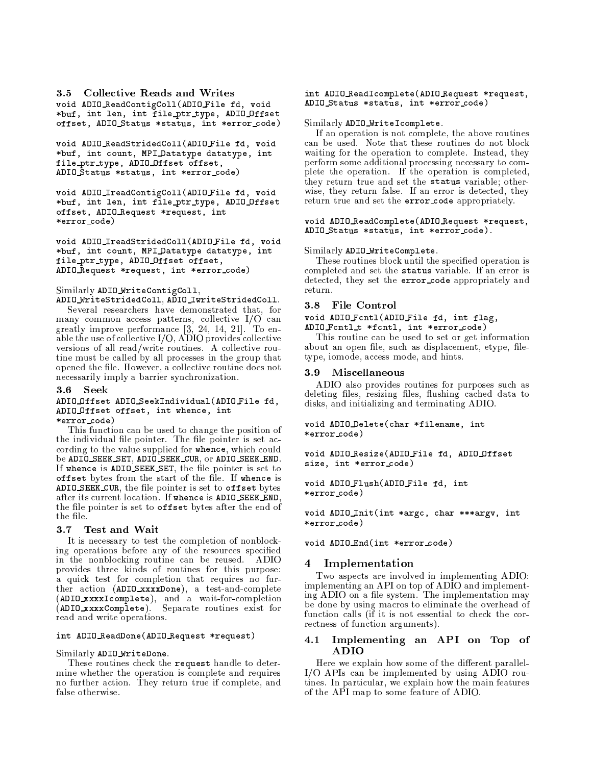**Collective Reads and Writes**  $3.5$ void ADIO\_ReadContigColl(ADIO\_File fd, void \*buf, int len, int file\_ptr\_type, ADIO\_Offset offset, ADIO\_Status \*status, int \*error\_code)

void ADIO\_ReadStridedColl(ADIO\_File fd, void \*buf, int count, MPI\_Datatype datatype, int file\_ptr\_type, ADIO\_Offset offset, ADIO Status \*status, int \*error\_code)

void ADIO\_IreadContigColl(ADIO\_File fd, void \*buf, int len, int file\_ptr\_type, ADIO\_Offset offset, ADIO\_Request \*request, int \*error\_code)

void ADIO\_IreadStridedColl(ADIO\_File fd, void \*buf, int count, MPI\_Datatype datatype, int file\_ptr\_type, ADIO\_Offset offset, ADIO\_Request \*request, int \*error\_code)

### Similarly ADIO\_WriteContigColl,

ADIO\_WriteStridedColl, ADIO\_IwriteStridedColl.

Several researchers have demonstrated that, for many common access patterns, collective  $I/O$  can<br>greatly improve performance  $[3, 24, 14, 21]$ . To enable the use of collective I/O, ADIO provides collective versions of all read/write routines. A collective routine must be called by all processes in the group that opened the file. However, a collective routine does not necessarily imply a barrier synchronization.

#### $3.6$ Seek

### ADIO\_Offset ADIO\_SeekIndividual(ADIO\_File fd, ADIO\_Offset offset, int whence, int \*error\_code)

This function can be used to change the position of the individual file pointer. The file pointer is set according to the value supplied for whence, which could be ADIO\_SEEK\_SET, ADIO\_SEEK\_CUR, or ADIO\_SEEK\_END. If whence is ADIO SEEK SET, the file pointer is set to offset bytes from the start of the file. If whence is ADIO SEEK\_CUR, the file pointer is set to offset bytes after its current location. If whence is ADIO\_SEEK\_END, the file pointer is set to **offset** bytes after the end of the file.

#### Test and Wait  $3.7$

It is necessary to test the completion of nonblocking operations before any of the resources specified in the nonblocking routine can be reused. ADIO provides three kinds of routines for this purpose: a quick test for completion that requires no further action (ADIO\_xxxxDone), a test-and-complete (ADIO\_xxxxIcomplete), and a wait-for-completion (ADIO\_xxxxComplete). Separate routines exist for read and write operations.

### int ADIO\_ReadDone(ADIO\_Request \*request)

Similarly ADIO\_WriteDone.

These routines check the request handle to determine whether the operation is complete and requires no further action. They return true if complete, and false otherwise.

### int ADIO\_ReadIcomplete(ADIO\_Request \*request, ADIO\_Status \*status, int \*error\_code)

### Similarly ADIO\_WriteIcomplete.

If an operation is not complete, the above routines can be used. Note that these routines do not block waiting for the operation to complete. Instead, they perform some additional processing necessary to complete the operation. If the operation is completed, they return true and set the status variable; otherwise, they return false. If an error is detected, they return true and set the error\_code appropriately.

### void ADIO\_ReadComplete(ADIO\_Request \*request, ADIO\_Status \*status, int \*error\_code).

### Similarly ADIO\_WriteComplete.

These routines block until the specified operation is completed and set the status variable. If an error is detected, they set the error\_code appropriately and return

### 3.8 File Control

### void ADIO\_Fcntl(ADIO\_File fd, int flag, ADIO\_Fcntl\_t \*fcntl, int \*error\_code)

This routine can be used to set or get information about an open file, such as displacement, etype, filetype, iomode, access mode, and hints.

#### 3.9 **Miscellaneous**

ADIO also provides routines for purposes such as deleting files, resizing files, flushing cached data to disks, and initializing and terminating ADIO.

### void ADIO Delete (char \*filename, int \*error\_code)

void ADIO\_Resize(ADIO\_File fd, ADIO\_Offset size, int \*error\_code)

void ADIO\_Flush(ADIO\_File fd, int \*error\_code)

void ADIO\_Init(int \*argc, char \*\*\*argv, int \*error\_code)

## void ADIO\_End(int \*error\_code)

#### 4 Implementation

Two aspects are involved in implementing ADIO: implementing an API on top of ADIO and implementing ADIO on a file system. The implementation may be done by using macros to eliminate the overhead of function calls (if it is not essential to check the correctness of function arguments).

#### $4.1$ Implementing an API on Top of **ADIO**

Here we explain how some of the different parallel-I/O APIs can be implemented by using ADIO routines. In particular, we explain how the main features of the API map to some feature of ADIO.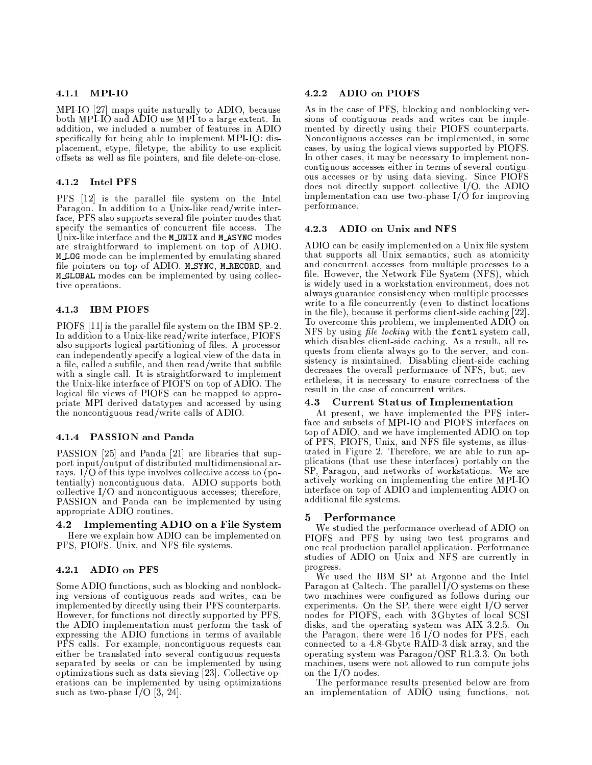# 4.1.1 MPI-IO

MPI-IO [27] maps quite naturally to ADIO, because both MPI-IO and ADIO use MPI to a large extent. In addition, we included a number of features in ADIO specifically for being able to implement MPI-IO: displacement, etype, filetype, the ability to use explicit offsets as well as file pointers, and file delete-on-close.

# 4.1.2 Intel PFS

PFS [12] is the parallel file system on the Intel Paragon. In addition to a Unix-like read/write interface, PFS also supports several file-pointer modes that specify the semantics of concurrent file access. The Unix-like interface and the MUNIX and MASYNC modes are straightforward to implement on top of ADIO. MLOG mode can be implemented by emulating shared file pointers on top of ADIO. MSYNC, MRECORD, and M\_GLOBAL modes can be implemented by using collective operations.

#### **IBM PIOFS**  $4.1.3$

PIOFS [11] is the parallel file system on the IBM SP-2 In addition to a Unix-like read/write interface, PIOFS also supports logical partitioning of files. A processor can independently specify a logical view of the data in a file, called a subfile, and then read/write that subfile with a single call. It is straightforward to implement the Unix-like interface of PIOFS on top of ADIO. The logical file views of PIOFS can be mapped to appropriate MPI derived datatypes and accessed by using the noncontiguous read/write calls of ADIO.

# 4.1.4 PASSION and Panda

PASSION [25] and Panda [21] are libraries that support input/output of distributed multidimensional arrays. I/O of this type involves collective access to (potentially) noncontiguous data. ADIO supports both collective I/O and noncontiguous accesses; therefore, PASSION and Panda can be implemented by using appropriate ADIO routines.

Implementing ADIO on a File System  $4.2$ Here we explain how ADIO can be implemented on PFS, PIOFS, Unix, and NFS file systems.

#### ADIO on PFS  $4.2.1$

Some ADIO functions, such as blocking and nonblocking versions of contiguous reads and writes, can be implemented by directly using their PFS counterparts. However, for functions not directly supported by PFS, the ADIO implementation must perform the task of expressing the ADIO functions in terms of available PFS calls. For example, noncontiguous requests can either be translated into several contiguous requests separated by seeks or can be implemented by using optimizations such as data sieving [23]. Collective operations can be implemented by using optimizations such as two-phase I/O [3, 24].

#### $4.2.2$ **ADIO on PIOFS**

As in the case of PFS, blocking and nonblocking versions of contiguous reads and writes can be implemented by directly using their PIOFS counterparts. Noncontiguous accesses can be implemented, in some cases, by using the logical views supported by PIOFS. In other cases, it may be necessary to implement noncontiguous accesses either in terms of several contiguous accesses or by using data sieving. Since PIOFS<br>does not directly support collective I/O, the ADIO implementation can use two-phase  $I/O$  for improving performance.

#### 4.2.3 ADIO on Unix and NFS

ADIO can be easily implemented on a Unix file system that supports all Unix semantics, such as atomicity and concurrent accesses from multiple processes to a file. However, the Network File System (NFS), which is widely used in a workstation environment, does not always guarantee consistency when multiple processes write to a file concurrently (even to distinct locations in the file), because it performs client-side caching [22]. To overcome this problem, we implemented ADIO on NFS by using file locking with the f cntl system call, which disables client-side caching. As a result, all requests from clients always go to the server, and consistency is maintained. Disabling client-side caching decreases the overall performance of NFS, but, nevertheless, it is necessary to ensure correctness of the result in the case of concurrent writes.

#### **Current Status of Implementation**  $4.3$

At present, we have implemented the PFS interface and subsets of MPI-IO and PIOFS interfaces on top of ADIO, and we have implemented ADIO on top of PFS, PIOFS, Unix, and NFS file systems, as illustrated in Figure 2. Therefore, we are able to run applications (that use these interfaces) portably on the SP, Paragon, and networks of workstations. We are actively working on implementing the entire MPI-IO interface on top of ADIO and implementing ADIO on additional file systems.

#### Performance 5

We studied the performance overhead of ADIO on PIOFS and PFS by using two test programs and one real production parallel application. Performance studies of ADIO on Unix and NFS are currently in progress.

We used the IBM SP at Argonne and the Intel Paragon at Caltech. The parallel  $\overline{\rm I}/\rm O$  systems on these two machines were configured as follows during our experiments. On the SP, there were eight I/O server nodes for PIOFS, each with 3 Gbytes of local SCSI disks, and the operating system was AIX 3.2.5. On the Paragon, there were 16 I/O nodes for PFS, each connected to a 4.8-Gbyte RAID-3 disk array, and the operating system was Paragon/OSF R1.3.3. On both machines, users were not allowed to run compute jobs on the  $I/O$  nodes.

The performance results presented below are from an implementation of ADIO using functions, not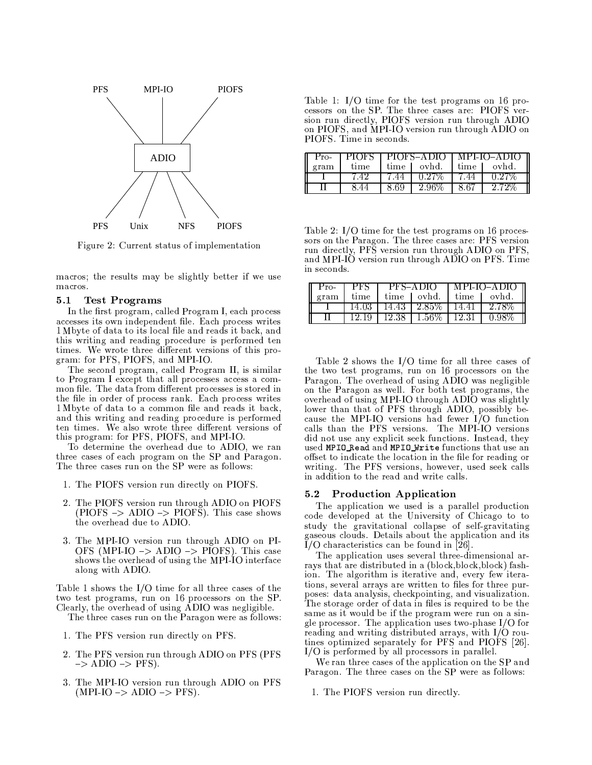

Figure 2: Current status of implementation

macros; the results may be slightly better if we use macros.

#### $5.1$ **Test Programs**

In the first program, called Program I, each process accesses its own independent file. Each process writes 1 Mbyte of data to its local file and reads it back, and this writing and reading procedure is performed ten times. We wrote three different versions of this program: for PFS, PIOFS, and MPI-IO.

The second program, called Program II, is similar to Program I except that all processes access a common file. The data from different processes is stored in the file in order of process rank. Each process writes 1 Mbyte of data to a common file and reads it back, and this writing and reading procedure is performed ten times. We also wrote three different versions of this program: for PFS, PIOFS, and MPI-IO.

To determine the overhead due to ADIO, we ran three cases of each program on the SP and Paragon. The three cases run on the SP were as follows:

- 1. The PIOFS version run directly on PIOFS.
- 2. The PIOFS version run through ADIO on PIOFS  $(PIOFS \rightarrow ADIO \rightarrow PIOF\$ . This case shows the overhead due to ADIO.
- 3. The MPI-IO version run through ADIO on PI-OFS (MPI-IO  $\rightarrow$  ADIO  $\rightarrow$  PIOFS). This case shows the overhead of using the MPI-IO interface along with ADIO.

Table 1 shows the I/O time for all three cases of the two test programs, run on 16 processors on the SP. Clearly, the overhead of using ADIO was negligible.

The three cases run on the Paragon were as follows:

- 1. The PFS version run directly on PFS.
- 2. The PFS version run through ADIO on PFS (PFS)  $\Rightarrow$  ADIO  $\Rightarrow$  PFS).
- 3. The MPI-IO version run through ADIO on PFS  $(MPI-IO \rightarrow ADIO \rightarrow PFS)$ .

Table 1:  $I/O$  time for the test programs on 16 processors on the SP. The three cases are: PIOFS version run directly, PIOFS version run through ADIO on PIOFS, and MPI-IO version run through ADIO on PIOFS. Time in seconds.

| Pro- |      |      |             | PIOFS   PIOFS-ADIO   MPI-IO-ADIO |          |
|------|------|------|-------------|----------------------------------|----------|
| gram | time |      | time lovhd. | time 1                           | ovhd.    |
|      | 7.42 | 7.44 | $0.27\%$    | 7.44                             | $0.27\%$ |
|      |      | 8.69 | 296%        | 8.67                             | -2-72%   |

Table 2: I/O time for the test programs on 16 processors on the Paragon. The three cases are: PFS version run directly, PFS version run through ADIO on PFS, and MPI-IO version run through ADIO on PFS. Time in seconds.

| Pro- | PFS     | $PFS-ADIO$    |                   | MPI-IO-ADIO II |        |
|------|---------|---------------|-------------------|----------------|--------|
| gram | time    | time          | ovhd.             | time           | ovhd.  |
|      | 14.03 - | 14.43         | $1, 2.85\%$ 14.41 |                | -2.78% |
|      |         | 12.19 1 12.38 | -1.56% + 12.31    |                |        |

Table 2 shows the  $I/O$  time for all three cases of the two test programs, run on 16 processors on the Paragon. The overhead of using ADIO was negligible on the Paragon as well. For both test programs, the overhead of using MPI-IO through ADIO was slightly lower than that of PFS through ADIO, possibly because the MPI-IO versions had fewer I/O function calls than the PFS versions. The MPI-IO versions did not use any explicit seek functions. Instead, they used MPIO\_Read and MPIO\_Write functions that use an offset to indicate the location in the file for reading or writing. The PFS versions, however, used seek calls in addition to the read and write calls.

### 5.2 Production Application

The application we used is a parallel production code developed at the University of Chicago to to study the gravitational collapse of self-gravitating gaseous clouds. Details about the application and its I/O characteristics can be found in [26].

The application uses several three-dimensional arrays that are distributed in a (block, block, block) fashion. The algorithm is iterative and, every few iterations, several arrays are written to files for three purposes: data analysis, checkpointing, and visualization. The storage order of data in files is required to be the same as it would be if the program were run on a single processor. The application uses two-phase I/O for reading and writing distributed arrays, with I/O routines optimized separately for PFS and PIOFS [26].  $I/O$  is performed by all processors in parallel.

We ran three cases of the application on the SP and Paragon. The three cases on the SP were as follows:

1. The PIOFS version run directly.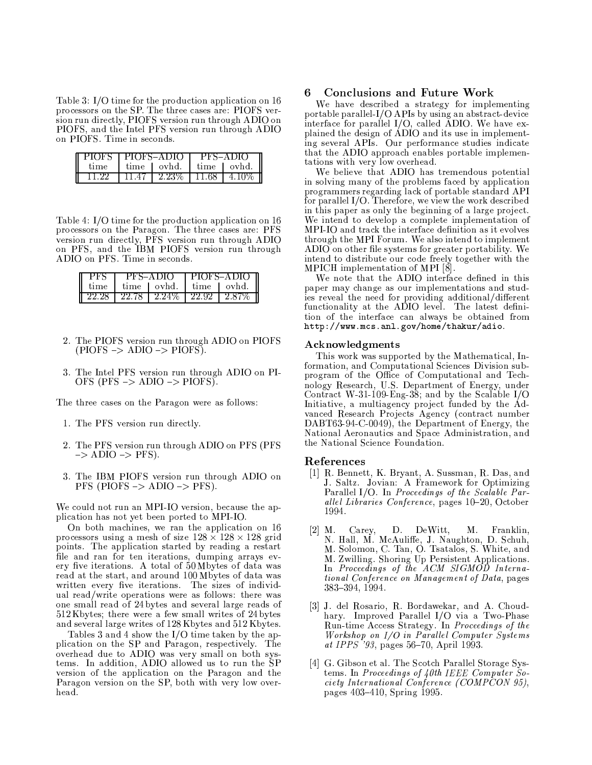Table 3: I/O time for the production application on 16 processors on the SP. The three cases are: PIOFS version run directly, PIOFS version run through ADIO on PIOFS, and the Intel PFS version run through ADIO on PIOFS. Time in seconds.

|      | PIOFS I PIOFS-ADIO |              | $PFS-ADIO$ |            |
|------|--------------------|--------------|------------|------------|
| tıme | time               | $\sim$ ovhd. |            | time Lovhd |
|      | 11 47              | 2.23%        | 11.68.     | 416        |

Table 4: I/O time for the production application on 16 processors on the Paragon. The three cases are: PFS version run directly, PFS version run through ADIO<br>on PFS, and the IBM PIOFS version run through ADIO on PFS. Time in seconds.

|       | $PFS-ADIO$ |       | PIOFS-ADIO |       |
|-------|------------|-------|------------|-------|
| tıme  | time       | ovhd  | time.      | ovhd  |
| ツツ ツメ | 22.78      | 2.24% | 22.92      | 2. X7 |

- 2. The PIOFS version run through ADIO on PIOFS  $(PIOFS \rightarrow ADIO \rightarrow PIOFS).$
- 3. The Intel PFS version run through ADIO on PI-OFS (PFS  $\rightarrow$  ADIO  $\rightarrow$  PIOFS).

The three cases on the Paragon were as follows:

- 1. The PFS version run directly.
- 2. The PFS version run through ADIO on PFS (PFS  $\Rightarrow$  ADIO  $\Rightarrow$  PFS).
- 3. The IBM PIOFS version run through ADIO on  $PFS$  (PIOFS  $\rightarrow$  ADIO  $\rightarrow$  PFS).

We could not run an MPI-IO version, because the application has not yet been ported to MPI-IO.

On both machines, we ran the application on 16 processors using a mesh of size  $128 \times 128 \times 128$  grid points. The application started by reading a restart file and ran for ten iterations, dumping arrays every five iterations. A total of 50 Mbytes of data was read at the start, and around 100 Mbytes of data was written every five iterations. The sizes of individual read/write operations were as follows: there was one small read of 24 bytes and several large reads of 512 Kbytes; there were a few small writes of 24 bytes and several large writes of 128 Kbytes and 512 Kbytes.

Tables 3 and 4 show the I/O time taken by the application on the SP and Paragon, respectively. The overhead due to ADIO was very small on both systems. In addition, ADIO allowed us to run the SP version of the application on the Paragon and the Paragon version on the SP, both with very low overhead.

#### **Conclusions and Future Work** 6

We have described a strategy for implementing portable parallel-I/O APIs by using an abstract-device interface for parallel  $I/O$ , called ADIO. We have explained the design of ADIO and its use in implementing several APIs. Our performance studies indicate that the ADIO approach enables portable implementations with very low overhead.

We believe that ADIO has tremendous potential in solving many of the problems faced by application programmers regarding lack of portable standard API for parallel I/O. Therefore, we view the work described in this paper as only the beginning of a large project. We intend to develop a complete implementation of MPI-IO and track the interface definition as it evolves through the MPI Forum. We also intend to implement ADIO on other file systems for greater portability. We intend to distribute our code freely together with the MPICH implementation of MPI [8].

We note that the ADIO interface defined in this paper may change as our implementations and studies reveal the need for providing additional/different functionality at the ADIO level. The latest definition of the interface can always be obtained from http://www.mcs.anl.gov/home/thakur/adio.

### Acknowledgments

This work was supported by the Mathematical, Information, and Computational Sciences Division subprogram of the Office of Computational and Technology Research, U.S. Department of Energy, under Contract W-31-109-Eng-38; and by the Scalable  $I/O$ Initiative, a multiagency project funded by the Advanced Research Projects Agency (contract number DABT63-94-C-0049), the Department of Energy, the National Aeronautics and Space Administration, and the National Science Foundation.

### References

- [1] R. Bennett, K. Bryant, A. Sussman, R. Das, and J. Saltz. Jovian: A Framework for Optimizing Parallel I/O. In Proceedings of the Scalable Parallel Libraries Conference, pages 10-20, October 1994.
- [2] M. Carey, D. DeWitt, M. Franklin, N. Hall, M. McAuliffe, J. Naughton, D. Schuh, M. Solomon, C. Tan, O. Tsatalos, S. White, and M. Zwilling. Shoring Up Persistent Applications. In Proceedings of the ACM SIGMOD International Conference on Management of Data, pages  $383 - 394, 1994.$
- [3] J. del Rosario, R. Bordawekar, and A. Choudhary. Improved Parallel I/O via a Two-Phase Run-time Access Strategy. In Proceedings of the Workshop on I/O in Parallel Computer Systems at IPPS '93, pages 56-70, April 1993.
- [4] G. Gibson et al. The Scotch Parallel Storage Systems. In Proceedings of 40th IEEE Computer Society International Conference (COMPCON 95), pages 403-410, Spring 1995.